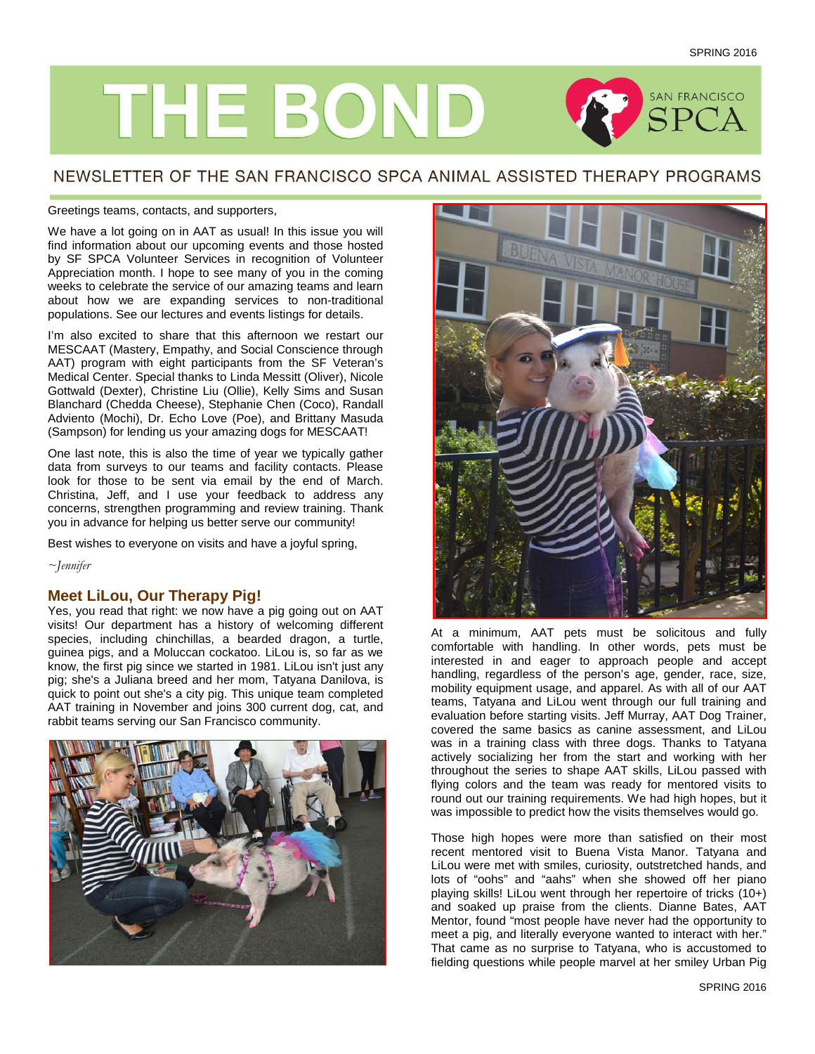

## NEWSLETTER OF THE SAN FRANCISCO SPCA ANIMAL ASSISTED THERAPY PROGRAMS

### Greetings teams, contacts, and supporters,

We have a lot going on in AAT as usual! In this issue you will find information about our upcoming events and those hosted by SF SPCA Volunteer Services in recognition of Volunteer Appreciation month. I hope to see many of you in the coming weeks to celebrate the service of our amazing teams and learn about how we are expanding services to non-traditional populations. See our lectures and events listings for details.

I'm also excited to share that this afternoon we restart our MESCAAT (Mastery, Empathy, and Social Conscience through AAT) program with eight participants from the SF Veteran's Medical Center. Special thanks to Linda Messitt (Oliver), Nicole Gottwald (Dexter), Christine Liu (Ollie), Kelly Sims and Susan Blanchard (Chedda Cheese), Stephanie Chen (Coco), Randall Adviento (Mochi), Dr. Echo Love (Poe), and Brittany Masuda (Sampson) for lending us your amazing dogs for MESCAAT!

One last note, this is also the time of year we typically gather data from surveys to our teams and facility contacts. Please look for those to be sent via email by the end of March. Christina, Jeff, and I use your feedback to address any concerns, strengthen programming and review training. Thank you in advance for helping us better serve our community!

Best wishes to everyone on visits and have a joyful spring,

*~Jennifer*

## **Meet LiLou, Our Therapy Pig!**

Yes, you read that right: we now have a pig going out on AAT visits! Our department has a history of welcoming different species, including chinchillas, a bearded dragon, a turtle, guinea pigs, and a Moluccan cockatoo. LiLou is, so far as we know, the first pig since we started in 1981. LiLou isn't just any pig; she's a Juliana breed and her mom, Tatyana Danilova, is quick to point out she's a city pig. This unique team completed AAT training in November and joins 300 current dog, cat, and rabbit teams serving our San Francisco community.





At a minimum, AAT pets must be solicitous and fully comfortable with handling. In other words, pets must be interested in and eager to approach people and accept handling, regardless of the person's age, gender, race, size, mobility equipment usage, and apparel. As with all of our AAT teams, Tatyana and LiLou went through our full training and evaluation before starting visits. Jeff Murray, AAT Dog Trainer, covered the same basics as canine assessment, and LiLou was in a training class with three dogs. Thanks to Tatyana actively socializing her from the start and working with her throughout the series to shape AAT skills, LiLou passed with flying colors and the team was ready for mentored visits to round out our training requirements. We had high hopes, but it was impossible to predict how the visits themselves would go.

Those high hopes were more than satisfied on their most recent mentored visit to Buena Vista Manor. Tatyana and LiLou were met with smiles, curiosity, outstretched hands, and lots of "oohs" and "aahs" when she showed off her piano playing skills! LiLou went through her repertoire of tricks (10+) and soaked up praise from the clients. Dianne Bates, AAT Mentor, found "most people have never had the opportunity to meet a pig, and literally everyone wanted to interact with her." That came as no surprise to Tatyana, who is accustomed to fielding questions while people marvel at her smiley Urban Pig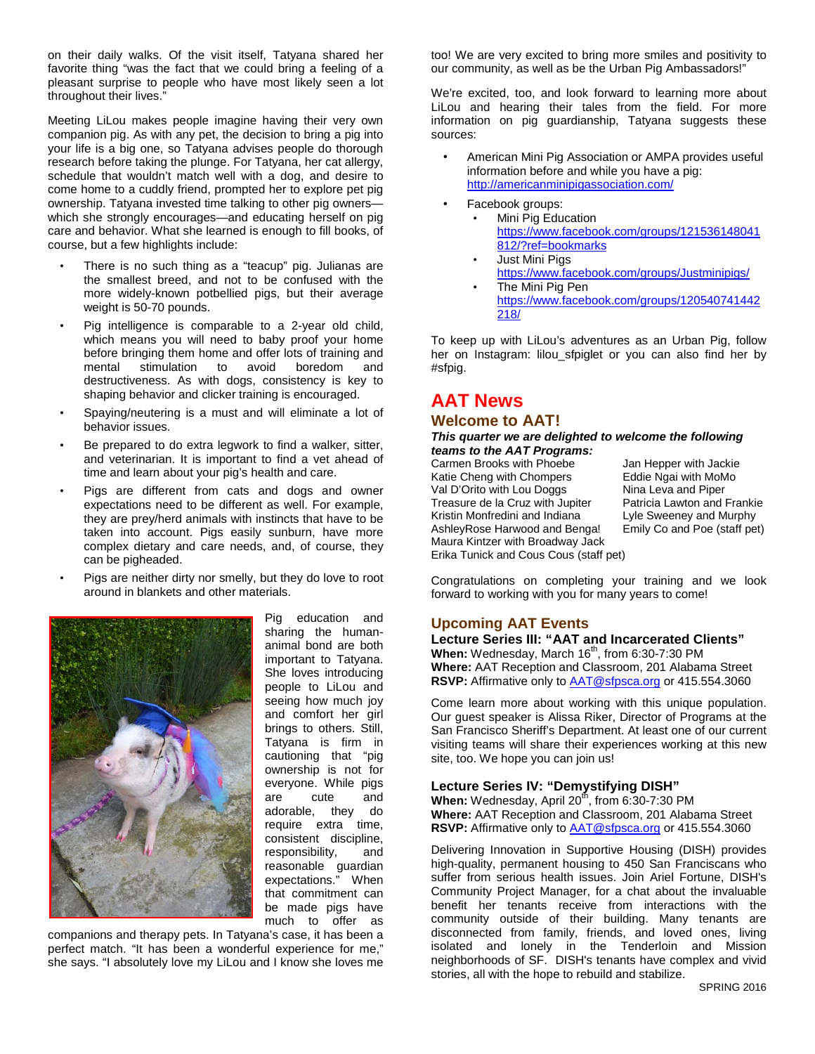on their daily walks. Of the visit itself, Tatyana shared her favorite thing "was the fact that we could bring a feeling of a pleasant surprise to people who have most likely seen a lot throughout their lives."

Meeting LiLou makes people imagine having their very own companion pig. As with any pet, the decision to bring a pig into your life is a big one, so Tatyana advises people do thorough research before taking the plunge. For Tatyana, her cat allergy, schedule that wouldn't match well with a dog, and desire to come home to a cuddly friend, prompted her to explore pet pig ownership. Tatyana invested time talking to other pig owners which she strongly encourages—and educating herself on pig care and behavior. What she learned is enough to fill books, of course, but a few highlights include:

- There is no such thing as a "teacup" pig. Julianas are the smallest breed, and not to be confused with the more widely-known potbellied pigs, but their average weight is 50-70 pounds.
- Pig intelligence is comparable to a 2-year old child, which means you will need to baby proof your home before bringing them home and offer lots of training and<br>mental stimulation to avoid boredom and stimulation destructiveness. As with dogs, consistency is key to shaping behavior and clicker training is encouraged.
- Spaying/neutering is a must and will eliminate a lot of behavior issues.
- Be prepared to do extra legwork to find a walker, sitter, and veterinarian. It is important to find a vet ahead of time and learn about your pig's health and care.
- Pigs are different from cats and dogs and owner expectations need to be different as well. For example, they are prey/herd animals with instincts that have to be taken into account. Pigs easily sunburn, have more complex dietary and care needs, and, of course, they can be pigheaded.
- Pigs are neither dirty nor smelly, but they do love to root around in blankets and other materials.



Pig education and sharing the humananimal bond are both important to Tatyana. She loves introducing people to LiLou and seeing how much joy and comfort her girl brings to others. Still, Tatyana is firm in cautioning that "pig ownership is not for everyone. While pigs are cute and adorable, they do require extra time, consistent discipline, responsibility, and reasonable guardian expectations." When that commitment can be made pigs have much to offer as

companions and therapy pets. In Tatyana's case, it has been a perfect match. "It has been a wonderful experience for me," she says. "I absolutely love my LiLou and I know she loves me

too! We are very excited to bring more smiles and positivity to our community, as well as be the Urban Pig Ambassadors!"

We're excited, too, and look forward to learning more about LiLou and hearing their tales from the field. For more information on pig guardianship, Tatyana suggests these sources:

- American Mini Pig Association or AMPA provides useful information before and while you have a pig: <http://americanminipigassociation.com/>
- Facebook groups:
	- Mini Pig Education [https://www.facebook.com/groups/121536148041](https://www.facebook.com/groups/121536148041812/?ref=bookmarks) [812/?ref=bookmarks](https://www.facebook.com/groups/121536148041812/?ref=bookmarks)
	- **Just Mini Pigs** <https://www.facebook.com/groups/Justminipigs/> The Mini Pig Pen
	- [https://www.facebook.com/groups/120540741442](https://www.facebook.com/groups/120540741442218/) [218/](https://www.facebook.com/groups/120540741442218/)

To keep up with LiLou's adventures as an Urban Pig, follow her on Instagram: lilou\_sfpiglet or you can also find her by #sfpig.

# **AAT News**

## **Welcome to AAT!**

#### *This quarter we are delighted to welcome the following teams to the AAT Programs:*

Carmen Brooks with Phoebe Jan Hepper with Jackie<br>Katie Cheng with Chompers Eddie Ngai with MoMo Katie Cheng with Chompers Eddie Ngai with MoMo Val D'Orito with Lou Doggs Nina Leva and Piper<br>Treasure de la Cruz with Jupiter Patricia Lawton and Frankie Treasure de la Cruz with Jupiter Kristin Monfredini and Indiana Lyle Sweeney and Murphy<br>AshleyRose Harwood and Benga! Emily Co and Poe (staff pet) AshleyRose Harwood and Benga! Maura Kintzer with Broadway Jack Erika Tunick and Cous Cous (staff pet)

Congratulations on completing your training and we look forward to working with you for many years to come!

## **Upcoming AAT Events**

**Lecture Series III: "AAT and Incarcerated Clients"** When: Wednesday, March 16<sup>th</sup>, from 6:30-7:30 PM **Where:** AAT Reception and Classroom, 201 Alabama Street **RSVP:** Affirmative only to [AAT@sfpsca.org](mailto:AAT@sfpsca.org) or 415.554.3060

Come learn more about working with this unique population. Our guest speaker is Alissa Riker, Director of Programs at the San Francisco Sheriff's Department. At least one of our current visiting teams will share their experiences working at this new site, too. We hope you can join us!

## **Lecture Series IV: "Demystifying DISH"**

**When:** Wednesday, April 20<sup>th</sup>, from 6:30-7:30 PM **Where:** AAT Reception and Classroom, 201 Alabama Street **RSVP:** Affirmative only to [AAT@sfpsca.org](mailto:AAT@sfpsca.org) or 415.554.3060

Delivering Innovation in Supportive Housing (DISH) provides high-quality, permanent housing to 450 San Franciscans who suffer from serious health issues. Join Ariel Fortune, DISH's Community Project Manager, for a chat about the invaluable benefit her tenants receive from interactions with the community outside of their building. Many tenants are disconnected from family, friends, and loved ones, living isolated and lonely in the Tenderloin and Mission neighborhoods of SF. DISH's tenants have complex and vivid stories, all with the hope to rebuild and stabilize.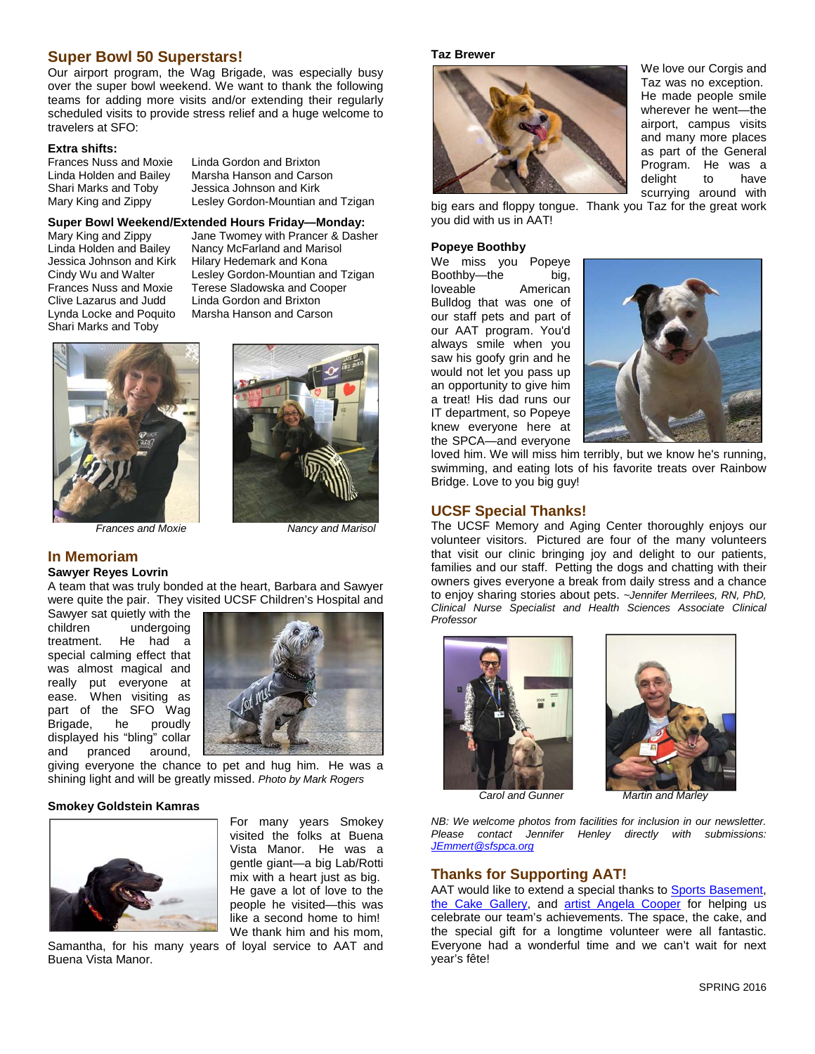## **Super Bowl 50 Superstars!**

Our airport program, the Wag Brigade, was especially busy over the super bowl weekend. We want to thank the following teams for adding more visits and/or extending their regularly scheduled visits to provide stress relief and a huge welcome to travelers at SFO:

**Extra shifts:** Frances Nuss and Moxie Linda Gordon and Brixton

Linda Holden and Bailey Marsha Hanson and Carson Shari Marks and Toby Jessica Johnson and Kirk<br>Mary King and Zippy Lesley Gordon-Mountian a Lesley Gordon-Mountian and Tzigan

# **Super Bowl Weekend/Extended Hours Friday—Monday:**

Jessica Johnson and Kirk Hilary Hedemark and Kona Clive Lazarus and Judd<br>Lynda Locke and Poquito Shari Marks and Toby

Mary King and Zippy Jane Twomey with Prancer & Dasher<br>Linda Holden and Bailey Nancy McFarland and Marisol Linda Holden and Bailey Nancy McFarland and Marisol Lesley Gordon-Mountian and Tzigan Frances Nuss and Moxie Terese Sladowska and Cooper Marsha Hanson and Carson





*Frances and Moxie Nancy and Marisol*

### **In Memoriam Sawyer Reyes Lovrin**

A team that was truly bonded at the heart, Barbara and Sawyer were quite the pair. They visited UCSF Children's Hospital and

Sawyer sat quietly with the<br>children undergoing undergoing treatment. He had a special calming effect that was almost magical and really put everyone at ease. When visiting as part of the SFO Wag<br>Brigade, he proudly Brigade, he displayed his "bling" collar and pranced around,



giving everyone the chance to pet and hug him. He was a shining light and will be greatly missed. *Photo by Mark Rogers*

#### **Smokey Goldstein Kamras**



Samantha, for his many years of loyal service to AAT and Buena Vista Manor.

For many years Smokey visited the folks at Buena Vista Manor. He was a gentle giant—a big Lab/Rotti mix with a heart just as big. He gave a lot of love to the people he visited—this was like a second home to him! We thank him and his mom,

We love our Corgis and Taz was no exception. He made people smile wherever he went—the airport, campus visits and many more places as part of the General Program. He was a delight to have scurrying around with

big ears and floppy tongue. Thank you Taz for the great work you did with us in AAT!

## **Popeye Boothby**

**Taz Brewer**

We miss you Popeye Boothby—the big, loveable American Bulldog that was one of our staff pets and part of our AAT program. You'd always smile when you saw his goofy grin and he would not let you pass up an opportunity to give him a treat! His dad runs our IT department, so Popeye knew everyone here at the SPCA—and everyone



loved him. We will miss him terribly, but we know he's running, swimming, and eating lots of his favorite treats over Rainbow Bridge. Love to you big guy!

## **UCSF Special Thanks!**

The UCSF Memory and Aging Center thoroughly enjoys our volunteer visitors. Pictured are four of the many volunteers that visit our clinic bringing joy and delight to our patients, families and our staff. Petting the dogs and chatting with their owners gives everyone a break from daily stress and a chance to enjoy sharing stories about pets. *~Jennifer Merrilees, RN, PhD, Clinical Nurse Specialist and Health Sciences Associate Clinical Professor*





*NB: We welcome photos from facilities for inclusion in our newsletter. Please contact Jennifer Henley directly with submissions: [JEmmert@sfspca.org](mailto:JEmmert@sfspca.org)*

## **Thanks for Supporting AAT!**

AAT would like to extend a special thanks to [Sports Basement,](http://www.sportsbasement.com/stores/bryant-street/) [the Cake Gallery,](http://www.thecakegallerysf.com/) and [artist Angela Cooper](https://www.etsy.com/people/cooperangie1) for helping us celebrate our team's achievements. The space, the cake, and the special gift for a longtime volunteer were all fantastic. Everyone had a wonderful time and we can't wait for next year's fête!